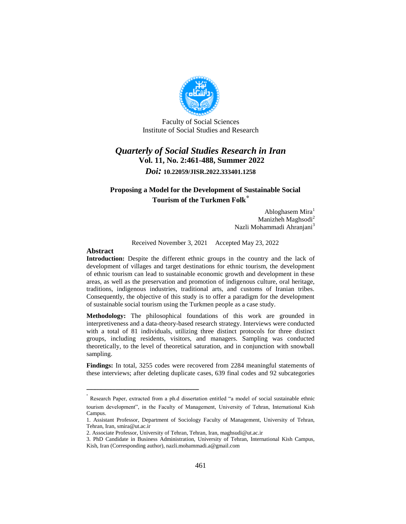

Faculty of Social Sciences Institute of Social Studies and Research

# *Quarterly of Social Studies Research in Iran* **Vol. 11, No. 2:461-488, Summer 2022** *Doi:* **10.22059/JISR.2022.333401.1258**

#### **Proposing a Model for the Development of Sustainable Social Tourism of the Turkmen Folk**\*

Abloghasem Mira<sup>1</sup> Manizheh Maghsodi<sup>2</sup> Nazli Mohammadi Ahranjani<sup>3</sup>

Received November 3, 2021 Accepted May 23, 2022

#### **Abstract**

**Introduction:** Despite the different ethnic groups in the country and the lack of development of villages and target destinations for ethnic tourism, the development of ethnic tourism can lead to sustainable economic growth and development in these areas, as well as the preservation and promotion of indigenous culture, oral heritage, traditions, indigenous industries, traditional arts, and customs of Iranian tribes. Consequently, the objective of this study is to offer a paradigm for the development of sustainable social tourism using the Turkmen people as a case study.

**Methodology:** The philosophical foundations of this work are grounded in interpretiveness and a data-theory-based research strategy. Interviews were conducted with a total of 81 individuals, utilizing three distinct protocols for three distinct groups, including residents, visitors, and managers. Sampling was conducted theoretically, to the level of theoretical saturation, and in conjunction with snowball sampling.

**Findings:** In total, 3255 codes were recovered from 2284 meaningful statements of these interviews; after deleting duplicate cases, 639 final codes and 92 subcategories

ــــــــــــــــــــــــــــــــــــــــــــــــــــــــــــــــــــــــــــــــــــــــــــــــــــــــــــــــــــــــــــــــــــــــــــــــ

<sup>\*</sup> Research Paper, extracted from a ph.d dissertation entitled "a model of social sustainable ethnic tourism development", in the Faculty of Management, University of Tehran, International Kish Campus.

<sup>1.</sup> Assistant Professor, Department of Sociology Faculty of Management, University of Tehran, Tehran, Iran, smira@ut.ac.ir

<sup>2.</sup> Associate Professor, University of Tehran, Tehran, Iran, maghsudi@ut.ac.ir

<sup>3.</sup> PhD Candidate in Business Administration, University of Tehran, International Kish Campus, Kish, Iran (Corresponding author), nazli.mohammadi.a@gmail.com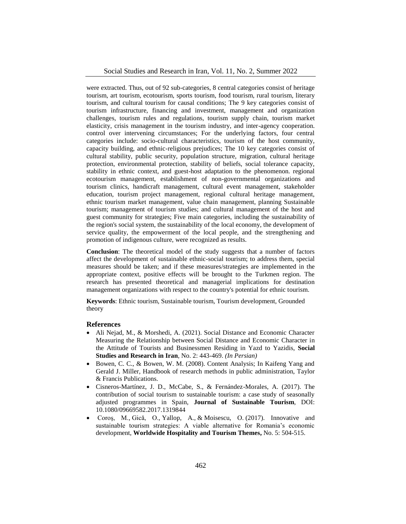were extracted. Thus, out of 92 sub-categories, 8 central categories consist of heritage tourism, art tourism, ecotourism, sports tourism, food tourism, rural tourism, literary tourism, and cultural tourism for causal conditions; The 9 key categories consist of tourism infrastructure, financing and investment, management and organization challenges, tourism rules and regulations, tourism supply chain, tourism market elasticity, crisis management in the tourism industry, and inter-agency cooperation. control over intervening circumstances; For the underlying factors, four central categories include: socio-cultural characteristics, tourism of the host community, capacity building, and ethnic-religious prejudices; The 10 key categories consist of cultural stability, public security, population structure, migration, cultural heritage protection, environmental protection, stability of beliefs, social tolerance capacity, stability in ethnic context, and guest-host adaptation to the phenomenon. regional ecotourism management, establishment of non-governmental organizations and tourism clinics, handicraft management, cultural event management, stakeholder education, tourism project management, regional cultural heritage management, ethnic tourism market management, value chain management, planning Sustainable tourism; management of tourism studies; and cultural management of the host and guest community for strategies; Five main categories, including the sustainability of the region's social system, the sustainability of the local economy, the development of service quality, the empowerment of the local people, and the strengthening and promotion of indigenous culture, were recognized as results.

**Conclusion**: The theoretical model of the study suggests that a number of factors affect the development of sustainable ethnic-social tourism; to address them, special measures should be taken; and if these measures/strategies are implemented in the appropriate context, positive effects will be brought to the Turkmen region. The research has presented theoretical and managerial implications for destination management organizations with respect to the country's potential for ethnic tourism.

**Keywords**: Ethnic tourism, Sustainable tourism, Tourism development, Grounded theory

#### **References**

- Ali Nejad, M., & Morshedi, A. (2021). Social Distance and Economic Character Measuring the Relationship between Social Distance and Economic Character in the Attitude of Tourists and Businessmen Residing in Yazd to Yazidis, **Social Studies and Research in Iran**, No. 2: 443-469. *(In Persian)*
- Bowen, C. C., & Bowen, W. M. (2008). Content Analysis; In Kaifeng Yang and Gerald J. Miller, Handbook of research methods in public administration, Taylor & Francis Publications.
- Cisneros-Martínez, J. D., McCabe, S., & Fernández-Morales, A. (2017). The contribution of social tourism to sustainable tourism: a case study of seasonally adjusted programmes in Spain, **Journal of Sustainable Tourism**, DOI: 10.1080/09669582.2017.1319844
- Coroş, M., Gică, O., Yallop, A., & Moisescu, O. (2017). Innovative and sustainable tourism strategies: A viable alternative for Romania's economic development, **Worldwide Hospitality and Tourism Themes,** No. 5: 504-515.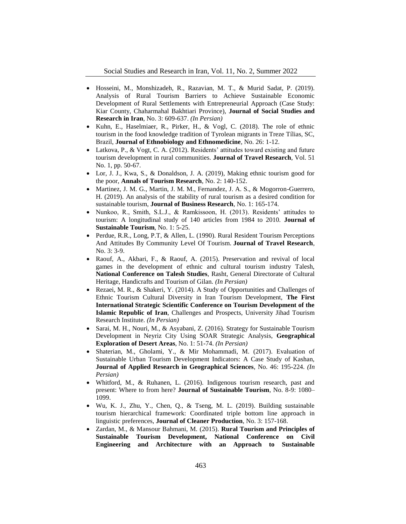- Hosseini, M., Monshizadeh, R., Razavian, M. T., & Murid Sadat, P. (2019). Analysis of Rural Tourism Barriers to Achieve Sustainable Economic Development of Rural Settlements with Entrepreneurial Approach (Case Study: Kiar County, Chaharmahal Bakhtiari Province), **Journal of Social Studies and Research in Iran**, No. 3: 609-637. *(In Persian)*
- Kuhn, E., Haselmiaer, R., Pirker, H., & Vogl, C. (2018). The role of ethnic tourism in the food knowledge tradition of Tyrolean migrants in Treze Tílias, SC, Brazil, **Journal of Ethnobiology and Ethnomedicine**, No. 26: 1-12.
- Latkova, P., & Vogt, C. A. (2012). Residents' attitudes toward existing and future tourism development in rural communities. **Journal of Travel Research**, Vol. 51 No. 1, pp. 50-67.
- Lor, J. J., Kwa, S., & Donaldson, J. A. (2019), Making ethnic tourism good for the poor, **Annals of Tourism Research**, No. 2: 140-152.
- Martinez, J. M. G., Martin, J. M. M., Fernandez, J. A. S., & Mogorron-Guerrero, H. (2019). An analysis of the stability of rural tourism as a desired condition for sustainable tourism, **Journal of Business Research**, No. 1: 165-174.
- Nunkoo, R., Smith, S.L.J., & Ramkissoon, H. (2013). Residents' attitudes to tourism: A longitudinal study of 140 articles from 1984 to 2010. **Journal of Sustainable Tourism**, No. 1: 5-25.
- Perdue, R.R., Long, P.T, & Allen, L. (1990). Rural Resident Tourism Perceptions And Attitudes By Community Level Of Tourism. **Journal of Travel Research**, No. 3: 3-9.
- Raouf, A., Akbari, F., & Raouf, A. (2015). Preservation and revival of local games in the development of ethnic and cultural tourism industry Talesh, **National Conference on Talesh Studies**, Rasht, General Directorate of Cultural Heritage, Handicrafts and Tourism of Gilan. *(In Persian)*
- Rezaei, M. R., & Shakeri, Y. (2014). A Study of Opportunities and Challenges of Ethnic Tourism Cultural Diversity in Iran Tourism Development, **The First International Strategic Scientific Conference on Tourism Development of the Islamic Republic of Iran**, Challenges and Prospects, University Jihad Tourism Research Institute. *(In Persian)*
- Sarai, M. H., Nouri, M., & Asyabani, Z. (2016). Strategy for Sustainable Tourism Development in Neyriz City Using SOAR Strategic Analysis, **Geographical Exploration of Desert Areas**, No. 1: 51-74. *(In Persian)*
- Shaterian, M., Gholami, Y., & Mir Mohammadi, M. (2017). Evaluation of Sustainable Urban Tourism Development Indicators: A Case Study of Kashan, **Journal of Applied Research in Geographical Sciences**, No. 46: 195-224. *(In Persian)*
- Whitford, M., & Ruhanen, L. (2016). Indigenous tourism research, past and present: Where to from here? **Journal of Sustainable Tourism**, No. 8-9: 1080– 1099.
- Wu, K. J., Zhu, Y., Chen, Q., & Tseng, M. L. (2019). Building sustainable tourism hierarchical framework: Coordinated triple bottom line approach in linguistic preferences, **Journal of Cleaner Production**, No. 3: 157-168.
- Zardan, M., & Mansour Bahmani, M. (2015). **Rural Tourism and Principles of Sustainable Tourism Development, National Conference on Civil Engineering and Architecture with an Approach to Sustainable**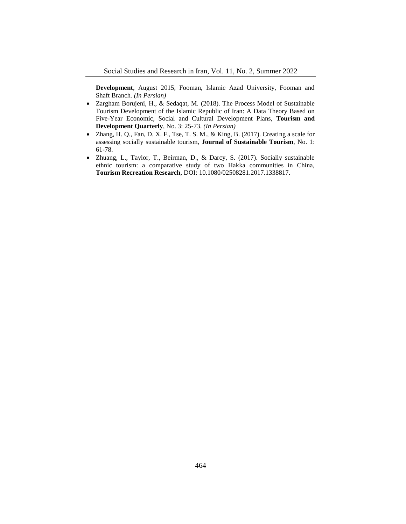**Development**, August 2015, Fooman, Islamic Azad University, Fooman and Shaft Branch. *(In Persian)*

- Zargham Borujeni, H., & Sedaqat, M. (2018). The Process Model of Sustainable Tourism Development of the Islamic Republic of Iran: A Data Theory Based on Five-Year Economic, Social and Cultural Development Plans, **Tourism and Development Quarterly**, No. 3: 25-73. *(In Persian)*
- Zhang, H. Q., Fan, D. X. F., Tse, T. S. M., & King, B. (2017). Creating a scale for assessing socially sustainable tourism, **Journal of Sustainable Tourism**, No. 1: 61-78.
- Zhuang, L., Taylor, T., Beirman, D., & Darcy, S. (2017). Socially sustainable ethnic tourism: a comparative study of two Hakka communities in China, **Tourism Recreation Research**, DOI: 10.1080/02508281.2017.1338817.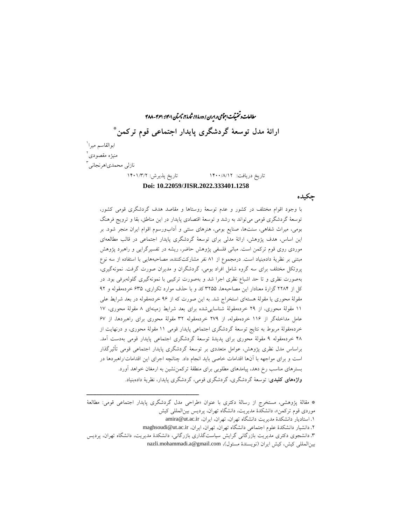رالعات و تحقیقات اجتماعی در ایران / دورهٔ ۱۱، شارهٔ ۲، مایسآن ۱۴۰۱: ۴۸۸-۴۸۸ ما ش \* **ارائۀ مدل توسعۀ گردشگری پایدار اجتماعی قوم ترکمن** ابوالقاسم میرا<sup>\</sup> منیژه مقصودی 2 نازلی محمدیاهرنجان*ی* <sup>آ</sup> تاریخ دریافت: 1400/8/12 تاریخ پذیرش: 1401/3/2 **Doi: 10.22059/JISR.2022.333401.1258**

**چکیده**

با وجود اقوام مختلف در کشور و عدم توسعۀ روستاها و مقاصد هدف گردشگری قومی کشور، توسعۀ گردشگری قومی میتواند به رشد و توسعۀ اقتصادی پایدار در این مناطق، بقا و ترویج فرهنگ بومی، میراث شفاهی، سنتها، صنایع بومی، هنرهای سنتی و آدابورسوم اقوام ایران منجر شود. بر این اساس، هدف پژوهش، ارائۀ مدلی برای توسعۀ گردشگری پایدار اجتماعی در قالب مطالعهای موردی روی قوم ترکمن است. مبانی فلسفی پژوهش حاضر، ریشه در تفسیرگرایی و راهبرد پژوهش مبتنی بر نظریۀ دادهبنیاد است. درمجموع از 81 نفر مشارکتکننده، مصاحبههایی با استفاده از سه نوع پروتکل مختلف برای سه گروه شامل افراد بومی، گردشگران و مدیران صورت گرفت. نمونهگیری، بهصورت نظری و تا حد اشباع نظری اجرا شد و بهصورت ترکیبی با نمونهگیری گلولهبرفی بود. در کل از 2284 گزارۀ معنادار این مصاحبهها، 3255 کد و با حذف موارد تکراری، 635 خردهمقوله و 92 مقولۀ محوری یا مقولۀ هستهای استخراج شد. به این صورت که از 96 خردهمقوله در بعد شرایط علی 11 مقولۀ محوری، از 29 خردهمقولۀ شناساییشده برای بعد شرایط زمینهای 8 مقولۀ محوری، 17 عامل مداخلهگر از 116 خردهمقوله، از 279 خردهمقوله 32 مقولۀ محوری برای راهبردها، از 67 خردهمقولۀ مربوط به نتایج توسعۀ گردشگری اجتماعی پایدار قومی 11 مقولۀ محوری، و درنهایت از 48 خردهمقوله 9 مقولۀ محوری برای پدیدۀ توسعۀ گردشگری اجتماعی پایدار قومی بهدست آمد. براساس مدل نظری پژوهش، عوامل متعددی بر توسعۀ گردشگری پایدار اجتماعی قومی تأثیرگذار است و برای مواجهه با آنها اقدامات خاصی باید انجام داد. چنانچه اجرای این اقدامات/راهبردها در بسترهای مناسب رخ دهد، پیامدهای مطلوبی برای منطقۀ ترکمننشین به ارمغان خواهد آورد. **واژههای کلیدی**: توسعۀ گردشگری، گردشگری قومی، گردشگری پایدار، نظریۀ دادهبنیاد.

\* مقالۀ پژوهشی، مستخرج از رسالۀ دکتری با عنوان »طراحی مدل گردشگری پایدار اجتماعی قومی: مطالعۀ موردی قوم ترکمن«، دانشکدۀ مدیریت، دانشگاه تهران، پردیس بینالمللی کیش .1 استادیار دانشکدۀ مدیریت دانشگاه تهران، تهران، ایران، ir.ac.ut@amira .2 دانشیار دانشکدۀ علوم اجتماعی دانشگاه تهران، تهران، ایران، ir.ac.ut@maghsoudi

ــــــــــــــــــــــــــــــــــــــــــــــــــــــــــــــــــــــــــــــــــــــــــــــــــــــــــــــــــــــــــــــــــــــــــــــــ

.3 دانشجوی دکتری مدیریت بازرگانی گرایش سیاستگذاری بازرگانی، دانشکدۀ مدیریت، دانشگاه تهران، پردیس

بین المللی کیش، کیش ایران (نویسندۀ مسئول)، nazli.mohammadi.a@gmail.com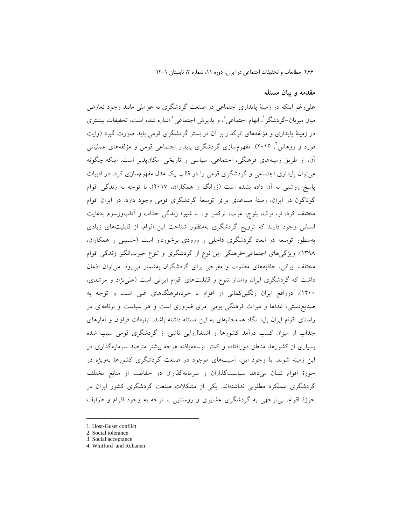#### **مقدمه و بیان مسئله**

علیرغم اینکه در زمینۀ پایداری اجتماعی در صنعت گردشگری به عواملی مانند وجود تعارض میان میزبان–گردشگر <sup>י</sup>، ابهام اجتماعی <sup>י</sup>، و پذیرش اجتماعی <sup>۲</sup> اشاره شده است، تحقیقات بیشتری در زمینۀ پایداری و مؤلفههای اثرگذار بر آن در بستر گردشگری قومی باید صورت گیرد )وایت 4 فورد و روهانن ، 2016(. مفهومسازی گردشگری پایدار اجتماعی قومی و مؤلفههای عملیاتی آن، از طریق زمینههای فرهنگی، اجتماعی، سیاسی و تاریخی امکانپذیر است. اینکه چگونه میتوان پایداری اجتماعی و گردشگری قومی را در قالب یک مدل مفهومسازی کرد، در ادبیات پاسخ روشنی به آن داده نشده است )ژوانگ و همکاران، 2017(. با توجه به زندگی اقوام گوناگون در ایران، زمینۀ مساعدی برای توسعۀ گردشگری قومی وجود دارد. در ایران اقوام مختلف کرد، لر، ترک، بلوچ، عرب، ترکمن و... با شیوۀ زندگی جذاب و آدابورسوم بهغایت انسانی وجود دارند که ترویج گردشگری بهمنظور شناخت این اقوام، از قابلیتهای زیادی بهمنظور توسعه در ابعاد گردشگری داخلی و ورودی برخوردار است )حسینی و همکاران، 1398(. ویژگیهای اجتماعی-فرهنگی این نوع از گردشگری و تنوع حیرتانگیز زندگی اقوام مختلف ایرانی، جاذبههای مطلوب و مفرحی برای گردشگران بهشمار میرود. میتوان اذعان داشت که گردشگری ایران وامدار تنوع و قابلیتهای اقوام ایرانی است )علینژاد و مرشدی، 1400(. درواقع ایران رنگینکمانی از اقوام با خردهفرهنگهای غنی است و توجه به صنایعدستی، غذاها و میراث فرهنگی بومی امری ضروری است و هر سیاست و برنامهای در راستای اقوام ایران باید نگاه همهجانبهای به این مسئله داشته باشد. تبلیغات فراوان و آمارهای جذاب از میزان کسب درآمد کشورها و اشتغالزایی ناشی از گردشگری قومی سبب شده بسیاری از کشورها، مناطق دورافتاده و کمتر توسعهیافته هرچه بیشتر مترصد سرمایهگذاری در این زمینه شوند. با وجود این، آسیبهای موجود در صنعت گردشگری کشورها بهویژه در حوزۀ اقوام نشان میدهد سیاستگذاران و سرمایهگذاران در حفاظت از منابع مختلف گردشگری عملکرد مطلوبی نداشتهاند. یکی از مشکالت صنعت گردشگری کشور ایران در حوزۀ اقوام، بیتوجهی به گردشگری عشایری و روستایی با توجه به وجود اقوام و طوایف

1. Host-Guset conflict

ــــــــــــــــــــــــــــــــــــــــــــــــــــــــــــــــــــــــــــــــــــــــــــــــــــــــــــــــــــــــــــــــــــــــــــــــ

<sup>2.</sup> Social tolerance

<sup>3.</sup> Social acceptance

<sup>4.</sup> Whitford and Ruhanen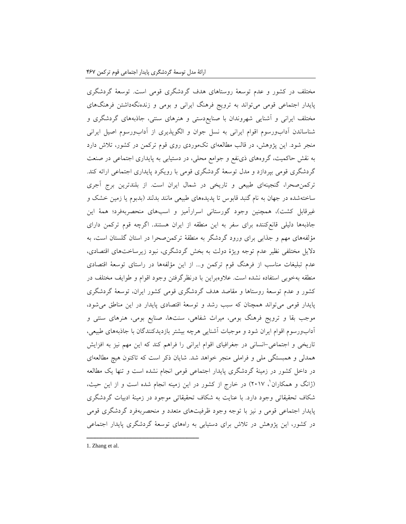مختلف در کشور و عدم توسعۀ روستاهای هدف گردشگری قومی است. توسعۀ گردشگری پایدار اجتماعی قومی میتواند به ترویج فرهنگ ایرانی و بومی و زندهنگهداشتن فرهنگهای مختلف ایرانی و آشنایی شهروندان با صنایعدستی و هنرهای سنتی، جاذبههای گردشگری و شناساندن آدابورسوم اقوام ایرانی به نسل جوان و الگوپذیری از آدابورسوم اصیل ایرانی منجر شود. این پژوهش، در قالب مطالعهای تکموردی روی قوم ترکمن در کشور، تالش دارد به نقش حاکمیت، گروههای ذینفع و جوامع محلی، در دستیابی به پایداری اجتماعی در صنعت گردشگری قومی بپردازد و مدل توسعۀ گردشگری قومی با رویکرد پایداری اجتماعی ارائه کند. ترکمنصحرا، گنجینهای طبیعی و تاریخی در شمال ایران است. از بلندترین برج آجری ساختهشده در جهان به نام گنبد قابوس تا پدیدههای طبیعی مانند بدلند )بدبوم یا زمین خشک و غیرقابل کشت)، همچنین وجود گورستانی اسرارآمیز و اسبهای منحصربهفرد؛ همۀ این جاذبهها دلیلی قانعکننده برای سفر به این منطقه از ایران هستند. اگرچه قوم ترکمن دارای مؤلفههای مهم و جذابی برای ورود گردشگر به منطقۀ ترکمنصحرا در استان گلستان است، به دالیل مختلفی نظیر عدم توجه ویژۀ دولت به بخش گردشگری، نبود زیرساختهای اقتصادی، عدم تبلیغات مناسب از فرهنگ قوم ترکمن و... از این مؤلفهها در راستای توسعۀ اقتصادی منطقه بهخوبی استفاده نشده است. عالوهبراین با درنظرگرفتن وجود اقوام و طوایف مختلف در کشور و عدم توسعۀ روستاها و مقاصد هدف گردشگری قومی کشور ایران، توسعۀ گردشگری پایدار قومی میتواند همچنان که سبب رشد و توسعۀ اقتصادی پایدار در این مناطق میشود، موجب بقا و ترویج فرهنگ بومی، میراث شفاهی، سنتها، صنایع بومی، هنرهای سنتی و آدابورسوم اقوام ایران شود و موجبات آشنایی هرچه بیشتر بازدیدکنندگان با جاذبههای طبیعی، تاریخی و اجتماعی-انسانی در جغرافیای اقوام ایرانی را فراهم کند که این مهم نیز به افزایش همدلی و همبستگی ملی و فراملی منجر خواهد شد. شایان ذکر است که تاکنون هیچ مطالعهای در داخل کشور در زمینۀ گردشگری پایدار اجتماعی قومی انجام نشده است و تنها یک مطالعه 1 )ژانگ و همکاران ، 2017( در خارج از کشور در این زمینه انجام شده است و از این حیث، شکاف تحقیقاتی وجود دارد. با عنایت به شکاف تحقیقاتی موجود در زمینۀ ادبیات گردشگری پایدار اجتماعی قومی و نیز با توجه وجود ظرفیتهای متعدد و منحصربهفرد گردشگری قومی در کشور، این پژوهش در تالش برای دستیابی به راههای توسعۀ گردشگری پایدار اجتماعی

1. Zhang et al.

ــــــــــــــــــــــــــــــــــــــــــــــــــــــــــــــــــــــــــــــــــــــــــــــــــــــــــــــــــــــــــــــــــــــــــــــــ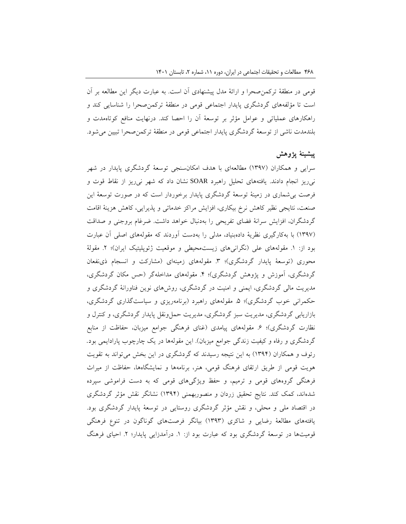قومی در منطقۀ ترکمنصحرا و ارائۀ مدل پیشنهادی آن است. به عبارت دیگر این مطالعه بر آن است تا مؤلفههای گردشگری پایدار اجتماعی قومی در منطقۀ ترکمنصحرا را شناسایی کند و راهکارهای عملیاتی و عوامل مؤثر بر توسعۀ آن را احصا کند. درنهایت منافع کوتاهمدت و بلندمدت ناشی از توسعۀ گردشگری پایدار اجتماعی قومی در منطقۀ ترکمنصحرا تبیین میشود.

## **پیشینۀ پژوهش**

سرایی و همکاران )1397( مطالعهای با هدف امکانسنجی توسعۀ گردشگری پایدار در شهر نیریز انجام دادند. یافتههای تحلیل راهبرد SOAR نشان داد که شهر نیریز از نقاط قوت و فرصت بیشماری در زمینۀ توسعۀ گردشگری پایدار برخوردار است که در صورت توسعۀ این صنعت، نتایجی نظیر کاهش نرخ بیکاری، افزایش مراکز خدماتی و پذیرایی، کاهش هزینۀ اقامت گردشگران، افزایش سرانۀ فضای تفریحی را بهدنبال خواهد داشت. ضرغام بروجنی و صداقت )1397( با بهکارگیری نظریۀ دادهبنیاد، مدلی را بهدست آوردند که مقولههای اصلی آن عبارت بود از: ١. مقولههای علی (نگرانیهای زیستمحیطی و موقعیت ژئوپلیتیک ایران)؛ ٢. مقولۀ محوری (توسعۀ پایدار گردشگری)؛ ٣. مقولههای زمینهای (مشارکت و انسجام ذیiفعان گردشگری، آموزش و پژوهش گردشگری)؛ ۴. مقولههای مداخلهگر (حس مکان گردشگری، مدیریت مالی گردشگری، ایمنی و امنیت در گردشگری، روشهای نوین فناورانۀ گردشگری و حکمرانی خوب گردشگری)؛ ۵. مقولههای راهبرد (برنامهریزی و سیاستگذاری گردشگری، بازاریابی گردشگری، مدیریت سبز گردشگری، مدیریت حملونقل پایدار گردشگری، و کنترل و نظارت گردشگری)؛ ۶. مقولههای پیامدی (غنای فرهنگی جوامع میزبان، حفاظت از منابع گردشگری و رفاه و کیفیت زندگی جوامع میزبان). این مقولهها در یک چارچوب پارادایمی بود. رئوف و همکاران )1394( به این نتیجه رسیدند که گردشگری در این بخش میتواند به تقویت هویت قومی از طریق ارتقای فرهنگ قومی، هنر، برنامهها و نمایشگاهها، حفاظت از میراث فرهنگی گروههای قومی و ترمیم، و حفظ ویژگیهای قومی که به دست فراموشی سپرده شدهاند، کمک کند. نتایج تحقیق زردان و منصوربهمنی )1394( نشانگر نقش مؤثر گردشگری در اقتصاد ملی و محلی، و نقش مؤثر گردشگری روستایی در توسعۀ پایدار گردشگری بود. یافتههای مطالعۀ رضایی و شاکری )1393( بیانگر فرصتهای گوناگون در تنوع فرهنگی قومیتها در توسعۀ گردشگری بود که عبارت بود از: ۱. درآمدزایی پایدار؛ ۲. احیای فرهنگ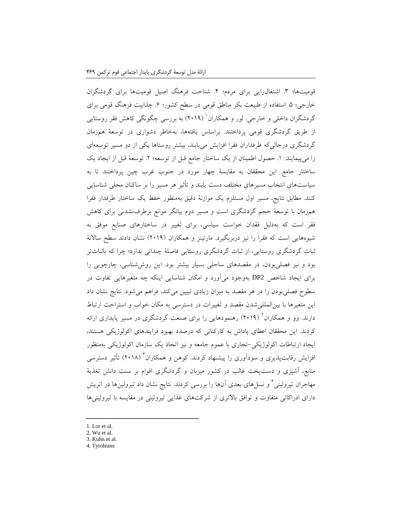قومیتها؛ ۳. اشتغالزایی برای مردم؛ ۴. شناخت فرهنگ اصیل قومیتها برای گردشگران خارجی؛ ۵. استفاده از طبیعت بکر مناطق قومی در سطح کشور؛ ۶. جذابیت فرهنگ قومی برای گردشگران داخلی و خارجی. لور و همکاران<sup>'</sup> (۲۰۱۹) به بررسی چگونگی کاهش فقر روستایی از طریق گردشگری قومی پرداختند. براساس یافتهها، بهخاطر دشواری در توسعۀ همزمان گردشگری درحالیکه طرفداران فقرا افزایش مییابند، بیشتر روستاها یکی از دو مسیر توسعهای را میپیمایند: ١. حصول اطمینان از یک ساختار جامع قبل از توسعه؛ ٢. توسعۀ قبل از ایجاد یک ساختار جامع. این محققان به مقایسۀ چهار مورد در جنوب غرب چین پرداختند تا به سیاستهای انتخاب مسیرهای مختلف دست یابند و تأثیر هر مسیر را بر ساکنان محلی شناسایی کنند. مطابق نتایج، مسیر اول مستلزم یک موازنۀ دقیق بهمنظور حفظ یک ساختار طرفدار فقرا همزمان با توسعۀ حجم گردشگری است و مسیر دوم بیانگر موانع برطرفنشدنی برای کاهش فقر است که بهدلیل فقدان خواست سیاسی، برای تغییر در ساختارهای صنایع موفق به شیوههایی است که فقرا را نیز دربربگیرد. مارتینز و همکاران )2019( نشان دادند سطح ساالنۀ ثبات گردشگری روستایی، از ثبات گردشگری روستایی فاصلۀ چندانی ندارد؛ چرا که باثباتتر بود و نیز فصلیبودن، در مقصدهای ساحلی بسیار بیشتر بود. این روششناسی، چارچوبی را برای ایجاد شاخص 2DP بهوجود میآورد و امکان شناسایی اینکه چه متغیرهایی تفاوت در سطوح فصلیبودن را در هر مقصد به میزان زیادی تبیین میکند، فراهم میشود. نتایج نشان داد این متغیرها با بینالمللیشدن مقصد و تغییرات در دسترسی به مکان خواب و استراحت ارتباط دارند. وو و همکاران<sup>۲</sup> (۲۰۱۹) رهنمودهایی را برای صنعت گردشگری در مسیر پایداری ارائه کردند. این محققان اعطای پاداش به کارکنانی که درصدد بهبود فرایندهای اکولوژیکی هستند، ایجاد ارتباطات اکولوژیکی-تجاری با عموم جامعه و نیز اتخاذ یک سازمان اکولوژیکی بهمنظور فزایش رقابت $\mu$ نیری و سودآوری را پیشنهاد کردند. کوهن و همکاران ٔ (۲۰۱۸) تأثیر دسترسی منابع، آشپزی و دستپخت غالب در کشور میزبان و گردشگری اقوام بر سنت دانش تغذیۀ مهاجران تیرولینی ٔ و نسل های بعدی آنها را بررسی کردند. نتایج نشان داد تیرولینها در اتریش دارای ادراکاتی متفاوت و توافق بالاتری از شرکتهای غذایی تیرولینی در مقایسه با تیرولینیها

1. Lor et al.

ــــــــــــــــــــــــــــــــــــــــــــــــــــــــــــــــــــــــــــــــــــــــــــــــــــــــــــــــــــــــــــــــــــــــــــــــ

- 3. Kuhn et al.
- 4. Tyroleans

<sup>2.</sup> Wu et al.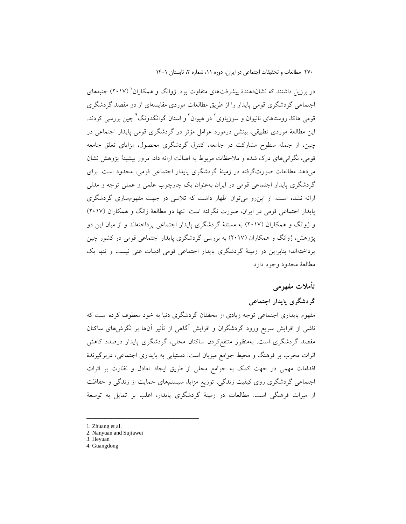در برزیل داشتند که نشاندهندۀ پیشرفتهای متفاوت بود. ژوانگ و همکاران ٰ (۲۰۱۷) جنبههای اجتماعی گردشگری قومی پایدار را از طریق مطالعات موردی مقایسهای از دو مقصد گردشگری قومی هاکا، روستاهای نانیوان و سوژیاوی<sup>٬</sup> در هیوان<sup>۲</sup> و استان گوانگدونگ<sup>۲</sup> چین بررسی کردند. این مطالعۀ موردی تطبیقی، بینشی درمورد عوامل مؤثر در گردشگری قومی پایدار اجتماعی در چین، از جمله سطوح مشارکت در جامعه، کنترل گردشگری محصول، مزایای تعلق جامعه قومی، نگرانیهای درک شده و مالحظات مربوط به اصالت ارائه داد. مرور پیشینۀ پژوهش نشان میدهد مطالعات صورتگرفته در زمینۀ گردشگری پایدار اجتماعی قومی، محدود است. برای گردشگری پایدار اجتماعی قومی در ایران بهعنوان یک چارچوب علمی و عملی توجه و مدلی ارائه نشده است. از اینرو میتوان اظهار داشت که تالشی در جهت مفهومسازی گردشگری پایدار اجتماعی قومی در ایران، صورت نگرفته است. تنها دو مطالعۀ ژانگ و همکاران )2017( و ژوانگ و همکاران )2017( به مسئلۀ گردشگری پایدار اجتماعی پرداختهاند و از میان این دو پژوهش، ژوانگ و همکاران (۲۰۱۷) به بررسی گردشگری پایدار اجتماعی قومی در کشور چین پرداختهاند؛ بنابراین در زمینۀ گردشگری پایدار اجتماعی قومی ادبیات غنی نیست و تنها یک مطالعۀ محدود وجود دارد.

# **تأمالت مفهومی**

# **گردشگری پایدار اجتماعی**

مفهوم پایداری اجتماعی توجه زیادی از محققان گردشگری دنیا به خود معطوف کرده است که ناشی از افزایش سریع ورود گردشگران و افزایش آگاهی از تأثیر آنها بر نگرشهای ساکنان مقصد گردشگری است. بهمنظور منتفعکردن ساکنان محلی، گردشگری پایدار درصدد کاهش اثرات مخرب بر فرهنگ و محیط جوامع میزبان است. دستیابی به پایداری اجتماعی، دربرگیرندۀ اقدامات مهمی در جهت کمک به جوامع محلی از طریق ایجاد تعادل و نظارت بر اثرات اجتماعی گردشگری روی کیفیت زندگی، توزیع مزایا، سیستمهای حمایت از زندگی و حفاظت از میراث فرهنگی است. مطالعات در زمینۀ گردشگری پایدار، اغلب بر تمایل به توسعۀ

ــــــــــــــــــــــــــــــــــــــــــــــــــــــــــــــــــــــــــــــــــــــــــــــــــــــــــــــــــــــــــــــــــــــــــــــــ

<sup>1.</sup> Zhuang et al.

<sup>2.</sup> Nanyuan and Sujiawei

<sup>3.</sup> Heyuan

<sup>4.</sup> Guangdong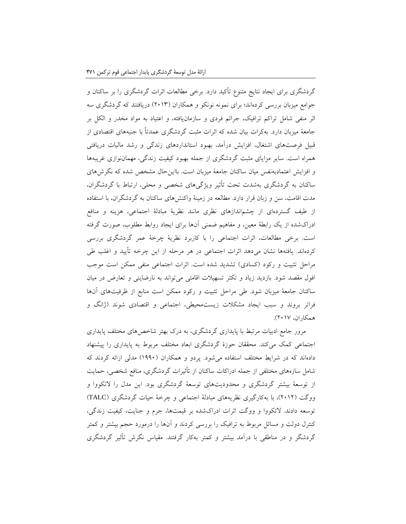گردشگری برای ایجاد نتایج متنوع تأکید دارد. برخی مطالعات اثرات گردشگری را بر ساکنان و جوامع میزبان بررسی کردهاند؛ برای نمونه نونکو و همکاران )2013( دریافتند که گردشگری سه اثر منفی شامل تراکم ترافیک، جرائم فردی و سازمانیافته، و اعتیاد به مواد مخدر و الکل بر جامعۀ میزبان دارد. بهکرات بیان شده که اثرات مثبت گردشگری عمدتاً با جنبههای اقتصادی از قبیل فرصتهای اشتغال، افزایش درآمد، بهبود استانداردهای زندگی و رشد مالیات دریافتی همراه است. سایر مزایای مثبت گردشگری از جمله بهبود کیفیت زندگی، مهماننوازی غریبهها و افزایش اعتمادبهنفس میان ساکنان جامعۀ میزبان است. بااینحال مشخص شده که نگرشهای ساکنان به گردشگری بهشدت تحت تأثیر ویژگیهای شخصی و محلی، ارتباط با گردشگران، مدت اقامت، سن و زبان قرار دارد. مطالعه در زمینۀ واکنشهای ساکنان به گردشگران، با استفاده از طیف گستردهای از چشماندازهای نظری مانند نظریۀ مبادلۀ اجتماعی، هزینه و منافع ادراکشده از یک رابطۀ معین، و مفاهیم ضمنی آنها برای ایجاد روابط مطلوب، صورت گرفته است. برخی مطالعات، اثرات اجتماعی را با کاربرد نظریۀ چرخۀ عمر گردشگری بررسی کردهاند. یافتهها نشان میدهد اثرات اجتماعی در هر مرحله از این چرخه تأیید و اغلب طی مراحل تثبیت و رکود (کسادی) تشدید شده است. اثرات اجتماعی منفی ممکن است موجب افول مقصد شود. بازدید زیاد و تکثر تسهیالت اقامتی میتواند به نارضایتی و تعارض در میان ساکنان جامعۀ میزبان شود. طی مراحل تثبیت و رکود ممکن است منابع از ظرفیتهای آنها فراتر بروند و سبب ایجاد مشکالت زیستمحیطی، اجتماعی و اقتصادی شوند )ژانگ و همکاران، 2017(.

مرور جامع ادبیات مرتبط با پایداری گردشگری، به درک بهتر شاخصهای مختلف پایداری اجتماعی کمک میکند. محققان حوزۀ گردشگری ابعاد مختلف مربوط به پایداری را پیشنهاد دادهاند که در شرایط مختلف استفاده میشود. پردو و همکاران )1990( مدلی ارائه کردند که شامل سازههای مختلفی از جمله ادراکات ساکنان از تأثیرات گردشگری، منافع شخصی، حمایت از توسعۀ بیشتر گردشگری و محدودیتهای توسعۀ گردشگری بود. این مدل را التکووا و ووگت )2012(، با بهکارگیری نظریههای مبادلۀ اجتماعی و چرخۀ حیات گردشگری )TALC ) توسعه دادند. التکووا و ووگت اثرات ادراکشده بر قیمتها، جرم و جنایت، کیفیت زندگی، کنترل دولت و مسائل مربوط به ترافیک را بررسی کردند و آنها را درمورد حجم بیشتر و کمتر گردشگر و در مناطقی با درآمد بیشتر و کمتر بهکار گرفتند. مقیاس نگرش تأثیر گردشگری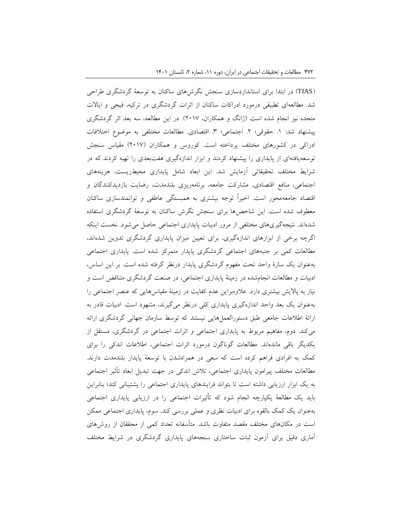)TIAS )در ابتدا برای استانداردسازی سنجش نگرشهای ساکنان به توسعۀ گردشگری طراحی شد. مطالعهای تطبیقی درمورد ادراکات ساکنان از اثرات گردشگری در ترکیه، فیجی و ایاالت متحده نیز انجام شده است )ژانگ و همکاران، 2017(. در این مطالعه، سه بعد اثر گردشگری پیشنهاد شد: .1 حقوقی؛ .2 اجتماعی؛ .3 اقتصادی. مطالعات مختلفی به موضوع اختالفات ادراکی در کشورهای مختلف پرداخته است. کوروس و همکاران )2017( مقیاس سنجش توسعهیافتهای از پایداری را پیشنهاد کردند و ابزار اندازهگیری هفتبعدی را تهیه کردند که در شرایط مختلف تحقیقاتی آزمایش شد. این ابعاد شامل پایداری محیطزیست، هزینههای اجتماعی، منافع اقتصادی، مشارکت جامعه، برنامهریزی بلندمدت، رضایت بازدیدکنندگان و اقتصاد جامعهمحور است. اخیراً توجه بیشتری به همبستگی عاطفی و توانمندسازی ساکنان معطوف شده است. این شاخصها برای سنجش نگرش ساکنان به توسعۀ گردشگری استفاده شدهاند. نتیجهگیریهای مختلفی از مرور ادبیات پایداری اجتماعی حاصل میشود. نخست اینکه اگرچه برخی از ابزارهای اندازهگیری، برای تعیین میزان پایداری گردشگری تدوین شدهاند، مطالعات کمی بر جنبههای اجتماعی گردشگری پایدار متمرکز شده است. پایداری اجتماعی بهعنوان یک سازۀ واحد تحت مفهوم گردشگری پایدار درنظر گرفته شده است. بر این اساس، ادبیات و مطالعات انجامشده در زمینۀ پایداری اجتماعی، در صنعت گردشگری متناقض است و نیاز به پاالیش بیشتری دارد. عالوهبراین عدم کفایت در زمینۀ مقیاسهایی که عنصر اجتماعی را بهعنوان یک بعد واحد اندازهگیری پایداری کلی درنظر میگیرند، مشهود است. ادبیات قادر به ارائۀ اطالعات جامعی طبق دستورالعملهایی نیستند که توسط سازمان جهانی گردشگری ارائه میکند. دوم، مفاهیم مربوط به پایداری اجتماعی و اثرات اجتماعی در گردشگری، مستقل از یکدیگر باقی ماندهاند. مطالعات گوناگون درمورد اثرات اجتماعی، اطالعات اندکی را برای کمک به افرادی فراهم کرده است که سعی در همراهشدن با توسعۀ پایدار بلندمدت دارند. مطالعات مختلف پیرامون پایداری اجتماعی، تالش اندکی در جهت تبدیل ابعاد تأثیر اجتماعی به یک ابزار ارزیابی داشته است تا بتواند فرایندهای پایداری اجتماعی را پشتیبانی کند؛ بنابراین باید یک مطالعۀ یکپارچه انجام شود که تأثیرات اجتماعی را در ارزیابی پایداری اجتماعی بهعنوان یک کمک بالقوه برای ادبیات نظری و عملی بررسی کند. سوم، پایداری اجتماعی ممکن است در مکانهای مختلف مقصد متفاوت باشد. متأسفانه تعداد کمی از محققان از روشهای آماری دقیق برای آزمون ثبات ساختاری سنجههای پایداری گردشگری در شرایط مختلف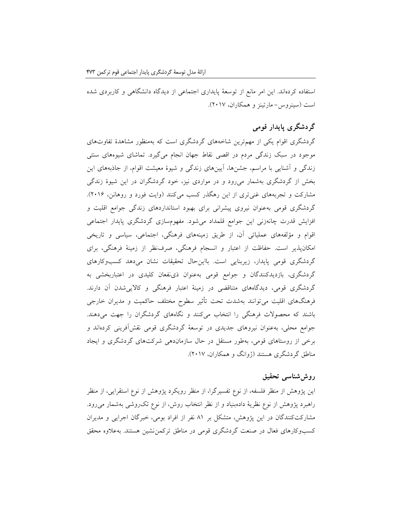استفاده کردهاند. این امر مانع از توسعۀ پایداری اجتماعی از دیدگاه دانشگاهی و کاربردی شده است )سینروس- مارتینز و همکاران، 2017(.

# **گردشگری پایدار قومی**

گردشگری اقوام یکی از مهمترین شاخههای گردشگری است که بهمنظور مشاهدۀ تفاوتهای موجود در سبک زندگی مردم در اقصی نقاط جهان انجام میگیرد. تماشای شیوههای سنتی زندگی و آشنایی با مراسم، جشنها، آیینهای زندگی و شیوۀ معیشت اقوام، از جاذبههای این بخش از گردشگری بهشمار میرود و در مواردی نیز، خود گردشگران در این شیوۀ زندگی مشارکت و تجربههای غنیتری از این رهگذر کسب میکنند )وایت فورد و روهانن، 2016(. گردشگری قومی بهعنوان نیروی پیشرانی برای بهبود استانداردهای زندگی جوامع اقلیت و افزایش قدرت چانهزنی این جوامع قلمداد میشود. مفهومسازی گردشگری پایدار اجتماعی اقوام و مؤلفههای عملیاتی آن، از طریق زمینههای فرهنگی، اجتماعی، سیاسی و تاریخی امکانپذیر است. حفاظت از اعتبار و انسجام فرهنگی، صرفنظر از زمینۀ فرهنگی، برای گردشگری قومی پایدار، زیربنایی است. بااینحال تحقیقات نشان میدهد کسبوکارهای گردشگری، بازدیدکنندگان و جوامع قومی بهعنوان ذینفعان کلیدی در اعتباربخشی به گردشگری قومی، دیدگاههای متناقضی در زمینۀ اعتبار فرهنگی و کاالییشدن آن دارند. فرهنگهای اقلیت میتوانند بهشدت تحت تأثیر سطوح مختلف حاکمیت و مدیران خارجی باشند که محصوالت فرهنگی را انتخاب میکنند و نگاههای گردشگران را جهت میدهند. جوامع محلی، بهعنوان نیروهای جدیدی در توسعۀ گردشگری قومی نقشآفرینی کردهاند و برخی از روستاهای قومی، بهطور مستقل در حال سازماندهی شرکتهای گردشگری و ایجاد مناطق گردشگری هستند )ژوانگ و همکاران، 2017(.

### **روششناسی تحقیق**

این پژوهش از منظر فلسفه، از نوع تفسیرگرا، از منظر رویکرد پژوهش از نوع استقرایی، از منظر راهبرد پژوهش از نوع نظریۀ دادهبنیاد و از نظر انتخاب روش، از نوع تکروشی بهشمار میرود. مشارکتکنندگان در این پژوهش، متشکل بر 81 نفر از افراد بومی، خبرگان اجرایی و مدیران کسبوکارهای فعال در صنعت گردشگری قومی در مناطق ترکمننشین هستند. بهعالوه محقق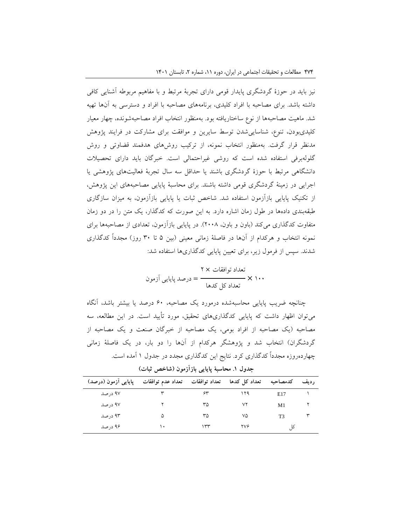نیز باید در حوزۀ گردشگری پایدار قومی دارای تجربۀ مرتبط و با مفاهیم مربوطه آشنایی کافی داشته باشد. برای مصاحبه با افراد کلیدی، برنامههای مصاحبه با افراد و دسترسی به آنها تهیه شد. ماهیت مصاحبهها از نوع ساختاریافته بود. بهمنظور انتخاب افراد مصاحبهشونده، چهار معیار کلیدیبودن، تنوع، شناساییشدن توسط سایرین و موافقت برای مشارکت در فرایند پژوهش مدنظر قرار گرفت. بهمنظور انتخاب نمونه، از ترکیب روشهای هدفمند قضاوتی و روش گلولهبرفی استفاده شده است که روشی غیراحتمالی است. خبرگان باید دارای تحصیالت دانشگاهی مرتبط با حوزۀ گردشگری باشند یا حداقل سه سال تجربۀ فعالیتهای پژوهشی یا اجرایی در زمینۀ گردشگری قومی داشته باشند. برای محاسبۀ پایایی مصاحبههای این پژوهش، از تکنیک پایایی بازآزمون استفاده شد. شاخص ثبات یا پایایی بازآزمون، به میزان سازگاری طبقهبندی دادهها در طول زمان اشاره دارد. به این صورت که کدگذار، یک متن را در دو زمان متفاوت کدگذاری میکند (باون و باون، ۲۰۰۸). در پایایی بازآزمون، تعدادی از مصاحبهها برای نمونه انتخاب و هرکدام از آنها در فاصلۀ زمانی معینی )بین 5 تا 30 روز( مجدداً کدگذاری شدند. سپس از فرمول زیر، برای تعیین پایایی کدگذاریها استفاده شد:

= درصد پایایی آزمون تعداد توافقات × 2 تعداد کل کدها × 100

چنانچه ضریب پایایی محاسبهشده درمورد یک مصاحبه، 60 درصد یا بیشتر باشد، آنگاه میتوان اظهار داشت که پایایی کدگذاریهای تحقیق، مورد تأیید است. در این مطالعه، سه مصاحبه )یک مصاحبه از افراد بومی، یک مصاحبه از خبرگان صنعت و یک مصاحبه از گردشگران) انتخاب شد و پژوهشگر هرکدام از آنها را دو بار، در یک فاصلۀ زمانی چهاردهروزه مجدداً کدگذاری کرد. نتایج این کدگذاری مجدد در جدول 1 آمده است.

| پایایی اَزمون (درصد) | تعداد عدم توافقات | تعداد توافقات | تعداد کل کدها | كدمصاحبه | ر ديف |
|----------------------|-------------------|---------------|---------------|----------|-------|
| ۹۷ در صد             |                   | ۶۳            | ۱۲۹           | E17      |       |
| ۹۷ در صد             |                   | ٣۵            | ۷۲            | M1       |       |
| ۹۳ در صد             | ۵                 | ٣۵            | ٧۵            | T3       |       |
| ۹۶ در صد             | ۱.                | ٣٣            | ۲۷۶           |          |       |

**جدول .1 محاسبۀ پایایی بازآزمون )شاخص ثبات(**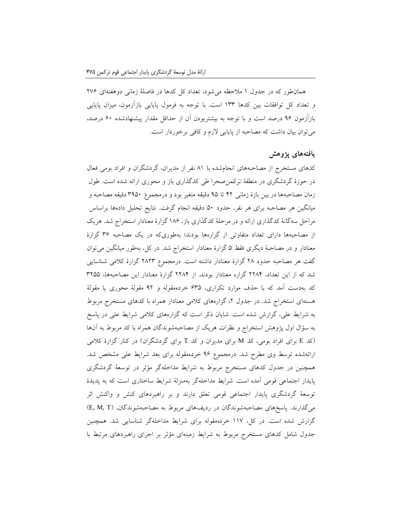همانطور که در جدول 1 مالحظه میشود، تعداد کل کدها در فاصلۀ زمانی دوهفتهای 276 و تعداد کل توافقات بین کدها 133 است. با توجه به فرمول پایایی بازآزمون، میزان پایایی بازآزمون 96 درصد است و با توجه به بیشتربودن آن از حداقل مقدار پیشنهادشده 60 درصد، میتوان بیان داشت که مصاحبه از پایایی الزم و کافی برخوردار است.

#### **یافتههای پژوهش**

کدهای مستخرج از مصاحبههای انجامشده با 81 نفر از مدیران، گردشگران و افراد بومی فعال در حوزۀ گردشگری در منطقۀ ترکمنصحرا طی کدگذاری باز و محوری ارائه شده است. طول زمان مصاحبهها در بین بازۀ زمانی 42 تا 95 دقیقه متغیر بود و درمجموع 3950 دقیقه مصاحبه و میانگین هر مصاحبه برای هر نفر، حدود 50 دقیقه انجام گرفت. نتایج تحلیل دادهها براساس مراحل سهگانۀ کدگذاری ارائه و در مرحلۀ کدگذاری باز، 186 گزارۀ معنادار استخراج شد. هریک از مصاحبهها دارای تعداد متفاوتی از گزارهها بودند؛ بهطوریکه در یک مصاحبه 36 گزارۀ معنادار و در مصاحبۀ دیگری فقط 5 گزارۀ معنادار استخراج شد. در کل، بهطور میانگین میتوان گفت هر مصاحبه حدود 28 گزارۀ معنادار داشته است. درمجموع 2823 گزارۀ کالمی شناسایی شد که از این تعداد، 2284 گزاره معنادار بودند. از 2284 گزارۀ معنادار این مصاحبهها، 3255 کد بهدست آمد که با حذف موارد تکراری، 635 خردهمقوله و 92 مقولۀ محوری یا مقولۀ هستهای استخراج شد. در جدول ۲، گزارههای کلامی معنادار همراه با کدهای مستخرج مربوط به شرایط علی، گزارش شده است. شایان ذکر است که گزارههای کالمی شرایط علی در پاسخ به سؤال اول پژوهش استخراج و نظرات هریک از مصاحبهشوندگان همراه با کد مربوط به آنها )کد <sup>E</sup> برای افراد بومی، کد <sup>M</sup> برای مدیران و کد <sup>T</sup> برای گردشگران( در کنار گزارۀ کالمی ارائهشده توسط وی مطرح شد. درمجموع 96 خردهمقوله برای بعد شرایط علی مشخص شد. همچنین در جدول کدهای مستخرج مربوط به شرایط مداخلهگر مؤثر در توسعۀ گردشگری پایدار اجتماعی قومی آمده است. شرایط مداخلهگر بهمنزلۀ شرایط ساختاری است که به پدیدۀ توسعۀ گردشگری پایدار اجتماعی قومی تعلق دارند و بر راهبردهای کنش و واکنش اثر میگذارند. پاسخهای مصاحبهشوندگان در ردیفهای مربوط به مصاحبهشوندگان، )T ,M ,E ) گزارش شده است. در کل، 117 خردهمقوله برای شرایط مداخلهگر شناسایی شد. همچنین جدول شامل کدهای مستخرج مربوط به شرایط زمینهای مؤثر بر اجرای راهبردهای مرتبط با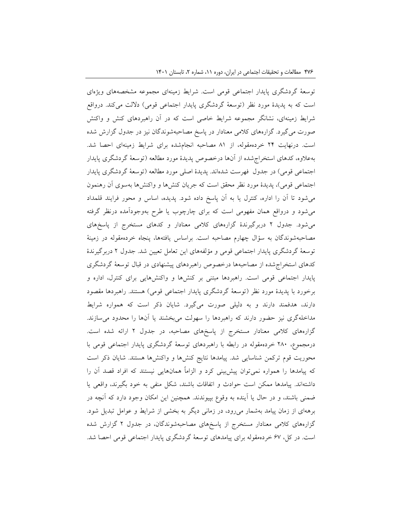توسعۀ گردشگری پایدار اجتماعی قومی است. شرایط زمینهای مجموعه مشخصههای ویژهای است که به پدیدۀ مورد نظر )توسعۀ گردشگری پایدار اجتماعی قومی( داللت میکند. درواقع شرایط زمینهای، نشانگر مجموعه شرایط خاصی است که در آن راهبردهای کنش و واکنش صورت میگیرد. گزارههای کالمی معنادار در پاسخ مصاحبهشوندگان نیز در جدول گزارش شده است. درنهایت 24 خردهمقوله، از 81 مصاحبه انجامشده برای شرایط زمینهای احصا شد. بهعالوه، کدهای استخراجشده از آنها درخصوص پدیدۀ مورد مطالعه )توسعۀ گردشگری پایدار اجتماعی قومی) در جدول فهرست شدهاند. پدیدۀ اصلی مورد مطالعه (توسعۀ گردشگری پایدار اجتماعی قومی)، پدیدۀ مورد نظر محقق است که جریان کنشها و واکنشها بهسوی آن رهنمون میشود تا آن را اداره، کنترل یا به آن پاسخ داده شود. پدیده، اساس و محور فرایند قلمداد میشود و درواقع همان مفهومی است که برای چارچوب یا طرح بهوجودآمده درنظر گرفته میشود. جدول 2 دربرگیرندۀ گزارههای کالمی معنادار و کدهای مستخرج از پاسخهای مصاحبهشوندگان به سؤال چهارم مصاحبه است. براساس یافتهها، پنجاه خردهمقوله در زمینۀ توسعۀ گردشگری پایدار اجتماعی قومی و مؤلفههای این تعامل تعیین شد. جدول 2 دربرگیرندۀ کدهای استخراجشده از مصاحبهها درخصوص راهبردهای پیشنهادی در قبال توسعۀ گردشگری پایدار اجتماعی قومی است. راهبردها مبتنی بر کنشها و واکنشهایی برای کنترل، اداره و برخورد با پدیدۀ مورد نظر (توسعۀ گردشگری پایدار اجتماعی قومی) هستند. راهبردها مقصود دارند، هدفمند دارند و به دلیلی صورت میگیرد. شایان ذکر است که همواره شرایط مداخلهگری نیز حضور دارند که راهبردها را سهولت میبخشند یا آنها را محدود میسازند. گزارههای کالمی معنادار مستخرج از پاسخهای مصاحبه، در جدول 2 ارائه شده است. درمجموع، 280 خردهمقوله در رابطه با راهبردهای توسعۀ گردشگری پایدار اجتماعی قومی با محوریت قوم ترکمن شناسایی شد. پیامدها نتایج کنشها و واکنشها هستند. شایان ذکر است که پیامدها را همواره نمیتوان پیشبینی کرد و الزاماً همانهایی نیستند که افراد قصد آن را داشتهاند. پیامدها ممکن است حوادث و اتفاقات باشند، شکل منفی به خود بگیرند، واقعی یا ضمنی باشند، و در حال یا آینده به وقوع بپیوندند. همچنین این امکان وجود دارد که آنچه در برههای از زمان پیامد بهشمار میرود، در زمانی دیگر به بخشی از شرایط و عوامل تبدیل شود. گزارههای کالمی معنادار مستخرج از پاسخهای مصاحبهشوندگان، در جدول 2 گزارش شده است. در کل، 67 خردهمقوله برای پیامدهای توسعۀ گردشگری پایدار اجتماعی قومی احصا شد.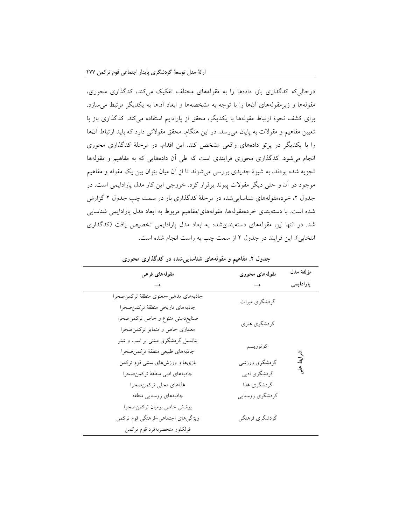درحالیکه کدگذاری باز، دادهها را به مقولههای مختلف تفکیک میکند، کدگذاری محوری، مقولهها و زیرمقولههای آنها را با توجه به مشخصهها و ابعاد آنها به یکدیگر مرتبط میسازد. برای کشف نحوۀ ارتباط مقولهها با یکدیگر، محقق از پارادایم استفاده میکند. کدگذاری باز با تعیین مفاهیم و مقوالت به پایان میرسد. در این هنگام، محقق مقوالتی دارد که باید ارتباط آنها را با یکدیگر در پرتو دادههای واقعی مشخص کند. این اقدام، در مرحلۀ کدگذاری محوری انجام میشود. کدگذاری محوری فرایندی است که طی آن دادههایی که به مفاهیم و مقولهها تجزیه شده بودند، به شیوۀ جدیدی بررسی میشوند تا از آن میان بتوان بین یک مقوله و مفاهیم موجود در آن و حتی دیگر مقوالت پیوند برقرار کرد. خروجی این کار مدل پارادایمی است. در جدول ۲، خردهمقولههای شناسایی شده در مرحلۀ کدگذاری باز در سمت چپ جدول ۲ گزارش شده است. با دستهبندی خردهمقولهها، مقولههای/مفاهیم مربوط به ابعاد مدل پارادایمی شناسایی شد. در انتها نیز، مقولههای دستهبندیشده به ابعاد مدل پارادایمی تخصیص یافت )کدگذاری انتخابی). این فرایند در جدول ۲ از سمت چپ به راست انجام شده است.

| مقولههای فرعی                          | مقولههای محوری  | مؤلفة مدل  |  |
|----------------------------------------|-----------------|------------|--|
|                                        |                 | پارادايمى  |  |
| جاذبههاي مذهبي–معنوي منطقهٔ تركمن صحرا | گردشگري ميراث   |            |  |
| جاذبههاي تاريخي منطقة تركمن صحرا       |                 |            |  |
| صنايع،دستي متنوع و خاص تركمن،صحرا      | گر دشگري هنري   |            |  |
| معماري خاص و متمايز تركمن صحرا         |                 |            |  |
| پتانسیل گردشگری مبتنی بر اسب و شتر     | اكوتوريسم       |            |  |
| جاذبههاي طبيعي منطقة تركمن صحرا        |                 |            |  |
| بازی ها و ورزش های سنتی قوم ترکمن      | گردشگري ورزشي   | بر<br>ایفر |  |
| جاذبههاى ادبى منطقة تركمن صحرا         | گردشگري ادبي    | ್ರೆ        |  |
| غذاهاي محلى تركمن صحرا                 | گردشگري غذا     |            |  |
| جاذبههاى روستايي منطقه                 | گردشگری روستایی |            |  |
| پوشش خاص بوميان تركمن صحرا             |                 |            |  |
| ویژگیهای اجتماعی-فرهنگی قوم ترکمن      | گردشگري فرهنگي  |            |  |
| فولكلور منحصربهفرد قوم تركمن           |                 |            |  |

**جدول .2 مفاهیم و مقولههای شناساییشده در کدگذاری محوری**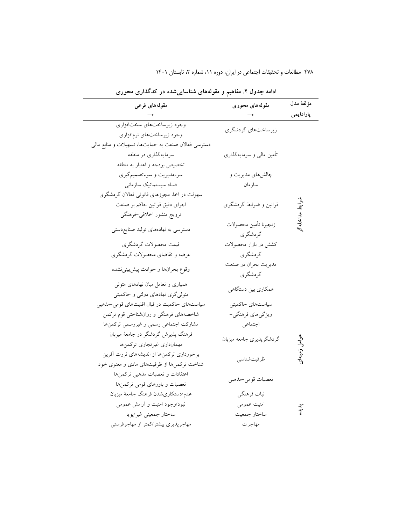| ادامه جدول ۲. مفاهیم و مقولههای شناساییشده در کدگذاری محوری                             |                                   |                    |  |  |
|-----------------------------------------------------------------------------------------|-----------------------------------|--------------------|--|--|
| مقولههای فرعی                                                                           | مقولههای محوری                    | مؤلفة مدل          |  |  |
|                                                                                         |                                   | پارادايمى          |  |  |
| وجود زيرساختهاي سختافزاري                                                               | زیر ساختهای گردشگری               |                    |  |  |
| وجود زيرساختهاي نرمافزاري                                                               |                                   |                    |  |  |
| دسترسی فعالان صنعت به حمایتها، تسهیلات و منابع مالی                                     |                                   |                    |  |  |
| سرمایهگذاری در منطقه                                                                    | تأمین مالی و سرمایهگذاری          |                    |  |  |
| تخصيص بودجه و اعتبار به منطقه                                                           |                                   |                    |  |  |
| سوءمديريت و سوءتصميم گيري                                                               | چالشهای مدیریت و                  |                    |  |  |
| فساد سيستماتيك سازماني                                                                  | سازمان                            |                    |  |  |
| سهولت در اخذ مجوزهاي قانوني فعالان گردشگري                                              |                                   |                    |  |  |
| اجرای دقیق قوانین حاکم بر صنعت                                                          | قوانین و ضوابط گردشگری            |                    |  |  |
| ترويج منشور اخلاقي-فرهنگي                                                               |                                   |                    |  |  |
| دسترسی به نهادههای تولید صنایع دستی                                                     | زنجيرة تأمين محصولات<br>گردشگري   |                    |  |  |
| قيمت محصولات گردشگري                                                                    | کشش در بازار محصولات              |                    |  |  |
| عرضه و تقاضای محصولات گردشگری                                                           | گردشگري                           |                    |  |  |
| وقوع بحرانها و حوادث پیش بینی نشده                                                      | مديريت بحران در صنعت<br>گر دشگر ی |                    |  |  |
| همیاری و تعامل میان نهادهای متولی<br>متولی گری نهادهای دولتی و حاکمیتی                  | همکاری بین دستگاهی                |                    |  |  |
| سیاستهای حاکمیت در قبال اقلیتهای قومی-مذهبی                                             | سیاستهای حاکمیتی                  |                    |  |  |
| شاخصههای فرهنگی و روانشناختی قوم ترکمن                                                  | ویژگیهای فرهنگی-                  |                    |  |  |
| مشاركت اجتماعي رسمي و غيررسمي تركمنها                                                   | اجتماعي                           |                    |  |  |
| فرهنگ پذیرش گردشگر در جامعهٔ میزبان<br>مهمانداري غيرتجاري تركمنها                       | گردشگرپذیری جامعه میزبان          | يو<br>ڪ<br>زمينهای |  |  |
| برخورداري تركمنها از انديشههاي ثروت أفرين<br>شناخت ترکمنها از ظرفیتهای مادی و معنوی خود | ظرفيتشناسي                        |                    |  |  |
| اعتقادات و تعصبات مذهبی ترکمنها<br>تعصبات و باورهای قومی ترکمنها                        | تعصبات قومي-مذهبي                 |                    |  |  |
| عدم/دستكاريشدن فرهنگ جامعهٔ ميزبان                                                      | ثبات فرهنگي                       |                    |  |  |
| نبود/وجود امنیت و أرامش عمومی                                                           | امنیت عمومی                       | ぇ゛<br>ゔ            |  |  |
| ساختار جمعيتي غير/پويا                                                                  | ساختار جمعيت                      |                    |  |  |
| مهاجرپذیری بیشتر/کمتر از مهاجرفرستی                                                     | مهاجرت                            |                    |  |  |

۴۷۸ مطالعات و تحقیقات اجتماعی در ایران، دوره ۱۱، شماره ۲، تابستان ۱۴۰۱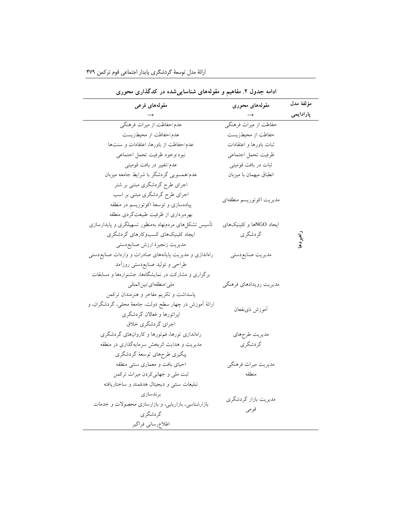| ادامه جدول ۲. مفاهیم و مقولههای شناسایی شده در کدگذاری محوری |                          |           |  |  |
|--------------------------------------------------------------|--------------------------|-----------|--|--|
| مقولههای فرعی                                                | مقولههای محوری           | مؤلفة مدل |  |  |
|                                                              |                          | پارادايمى |  |  |
| عدم/حفاظت از میراث فرهنگی                                    | حفاظت از میراث فرهنگی    |           |  |  |
| عدم/حفاظت از محیطزیست                                        | حفاظت از محیطزیست        |           |  |  |
| عدم/حفاظت از باورها، اعتقادات و سنتها                        | ثبات باورها و اعتقادات   |           |  |  |
| نبود/وجود ظرفيت تحمل اجتماعي                                 | ظرفيت تحمل اجتماعي       |           |  |  |
| عدم/تغییر در بافت قومیتی                                     | ثبات در بافت قومیتبی     |           |  |  |
| عدم/همسویی گردشگر با شرایط جامعه میزبان                      | انطباق ميهمان با ميزبان  |           |  |  |
| اجرای طرح گردشگری مبتنی بر شتر                               |                          |           |  |  |
| اجرای طرح گردشگری مبتنی بر اسب                               |                          |           |  |  |
| پیادهسازی و توسعهٔ اکوتوریسم در منطقه                        | مديريت اكوتوريسم منطقهاي |           |  |  |
| بهرهبرداری از ظرفیت طبیعتگردی منطقه                          |                          |           |  |  |
| تأسیس تشکلهای مردمنهاد بهمنظور تسهیلگری و پایدارسازی         | ایجاد NGOها و کلینیکهای  |           |  |  |
| ایجاد کلینیکهای کسبوکارهای گردشگری                           | گردشگري                  |           |  |  |
| مديريت زنجيرة ارزش صنايع دستي                                |                          |           |  |  |
| راهاندازی و مدیریت پایانههای صادرات و واردات صنایع دستی      | مديريت صنايع دستي        |           |  |  |
| طراحی و تولید صنایعٖدستی روزآمد                              |                          |           |  |  |
| برگزاری و مشارکت در نمایشگاهها، جشنوارهها و مسابقات          |                          |           |  |  |
| ملي /منطقهاي /بين المللي                                     | مديريت رويدادهاي فرهنگي  |           |  |  |
| پاسداشت و تکریم مفاخر و هنرمندان ترکمن                       |                          |           |  |  |
| ارائهٔ اَموزش در چهار سطح دولت، جامعهٔ محلی، گردشگران، و     | أموزش ذىنفعان            |           |  |  |
| اپراتورها و فعالان گردشگری                                   |                          |           |  |  |
| اجراي گردشگري خلاق                                           |                          |           |  |  |
| راهاندازی تورها، فم;تورها و کاروانهای گردشگری                | مديريت طرحهاي            |           |  |  |
| مدیریت و هدایت اثربخش سرمایهگذاری در منطقه                   | گردشگري                  |           |  |  |
| پیگیری طرحهای توسعهٔ گردشگری                                 |                          |           |  |  |
| احیای بافت و معماری سنتی منطقه                               | مديريت ميراث فرهنگي      |           |  |  |
| ثبت ملي و جهاني كردن ميراث تركمن                             | منطقه                    |           |  |  |
| تبليغات سنتى و ديجيتال هدفمند و ساختاريافته                  |                          |           |  |  |
| بر ندسازی                                                    | مدیریت بازار گردشگری     |           |  |  |
| بازارشناسی، بازاریابی، و بازارسازی محصولات و خدمات           |                          |           |  |  |
| گر دشگر ی                                                    | قومي                     |           |  |  |
| اطلاع رساني فراگير                                           |                          |           |  |  |

<u> 1990 - Johann Barbara, martin a</u>

ارائة مدل توسعة گردشگری پایدار اجتماعی قوم ترکمن 479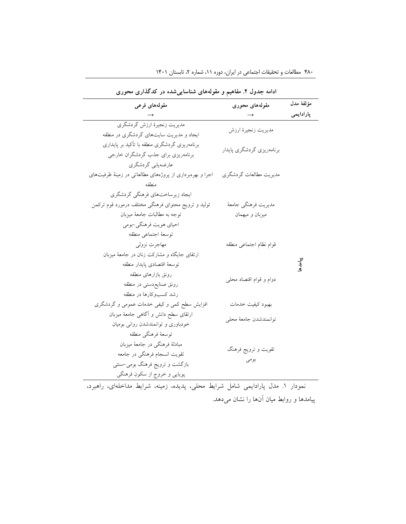| ادامه جدول ۲. مفاهیم و مقولههای شناساییشده در کدگذاری محوری                                                                                              |                                         |           |  |  |
|----------------------------------------------------------------------------------------------------------------------------------------------------------|-----------------------------------------|-----------|--|--|
| مقولەھاي فرعى                                                                                                                                            | مقولههای محوری                          | مؤلفة مدل |  |  |
|                                                                                                                                                          |                                         | پارادايمى |  |  |
| ایجاد و مدیریت سایتهای گردشگری در منطقه                                                                                                                  | مديريت زنجيرة ارزش                      |           |  |  |
| برنامەریزی گردشگری منطقه با تأکید بر پایداری<br>برنامەریزی برای جذب گردشگران خارجى                                                                       | برنامەريزى گردشگرى پايدار               |           |  |  |
| عارضهيابي گردشگري<br>اجرا و بهرهبرداری از پروژههای مطالعاتی در زمینهٔ ظرفیتهای                                                                           | مديريت مطالعات گردشگري                  |           |  |  |
| ايجاد زيرساختهاي فرهنگي گردشگري<br>تولید و ترویج محتوای فرهنگی مختلف درمورد قوم ترکمن<br>توجه به مطالبات جامعهٔ میزبان                                   | مديريت فرهنگي جامعهٔ<br>ميزبان و ميهمان |           |  |  |
| احیای هویت فرهنگی-بومی<br>توسعة اجتماعي منطقه<br>مهاجرت نزولي<br>ارتقای جایگاه و مشارکت زنان در جامعهٔ میزبان                                            | قوام نظام اجتماعى منطقه                 |           |  |  |
| توسعهٔ اقتصادی پایدار منطقه<br>رونق بازارهاى منطقه<br>رونق صنايع دستى در منطقه<br>رشد كسبوكارها در منطقه                                                 | دوام و قوام اقتصاد محلى                 | ار<br>اڳ  |  |  |
| افزایش سطح کمی و کیفی خدمات عمومی و گردشگری                                                                                                              | بهبود كيفيت خدمات                       |           |  |  |
| ارتقای سطح دانش و آگاهی جامعهٔ میزبان<br>خودباوری و توانمندشدن روانی بومیان                                                                              | توانمندشدن جامعهٔ محلي                  |           |  |  |
| توسعهٔ فرهنگی منطقه<br>مبادلهٔ فرهنگی در جامعهٔ میزبان<br>تقويت انسجام فرهنگي در جامعه<br>بازگشت و ترویج فرهنگ بومی–سنتی<br>پویایی و خروج از سکون فرهنگی | تقويت و ترويج فرهنگ<br>بومى             |           |  |  |

۴۸۰ مطالعات و تحقیقات اجتماعی در ایران، دوره ۱۱، شماره ۲، تابستان ۱۴۰۱

نمودار .1 مدل پارادایمی شامل شرایط محلی، پدیده، زمینه، شرایط مداخلهای، راهبرد، پیامدها و روابط میان آنها را نشان میدهد.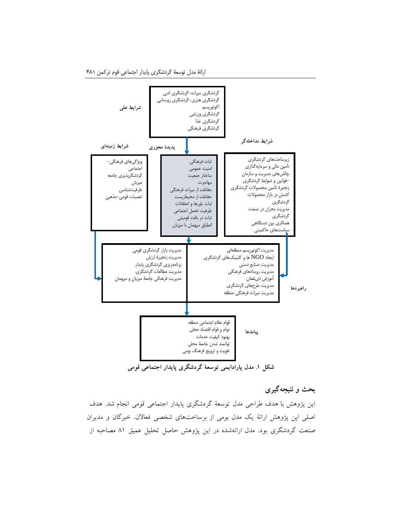ارائة مدل توسعة گردشگری پایدار اجتماعی قوم ترکمن 481



**شکل .1 مدل پارادایمی توسعۀ گردشگری پایدار اجتماعی قومی**

# **بحث و نتیجهگیری**

این پژوهش با هدف طراحی مدل توسعۀ گردشگری پایدار اجتماعی قومی انجام شد. هدف اصلی این پژوهش ارائۀ یک مدل بومی از برساختهای شخصی فعاالن، خبرگان و مدیران صنعت گردشگری بود. مدل ارائهشده در این پژوهش حاصل تحلیل عمیق 81 مصاحبه از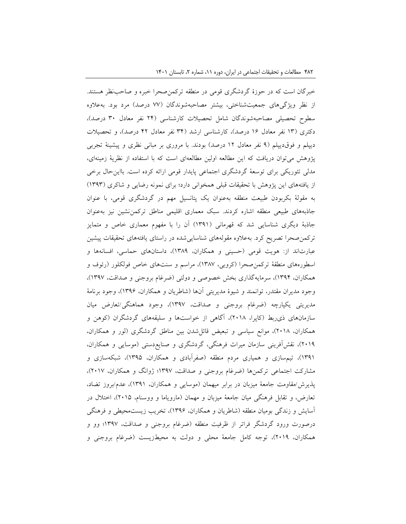خبرگان است که در حوزۀ گردشگری قومی در منطقه ترکمنصحرا خبره و صاحبنظر هستند. از نظر ویژگیهای جمعیتشناختی، بیشتر مصاحبهشوندگان (۷۷ درصد) مرد بود. بهعلاوه سطوح تحصیلی مصاحبهشوندگان شامل تحصیالت کارشناسی )24 نفر معادل 30 درصد(، دکتری (۱۳ نفر معادل ۱۶ درصد)، کارشناسی ارشد (۳۴ نفر معادل ۴۲ درصد)، و تحصیلات دیپلم و فوقدیپلم )9 نفر معادل 12 درصد( بودند. با مروری بر مبانی نظری و پیشینۀ تجربی پژوهش میتوان دریافت که این مطالعه اولین مطالعهای است که با استفاده از نظریۀ زمینهای، مدلی تئوریکی برای توسعۀ گردشگری اجتماعی پایدار قومی ارائه کرده است. بااینحال برخی از یافتههای این پژوهش با تحقیقات قبلی همخوانی دارد؛ برای نمونه رضایی و شاکری )1393( به مقولۀ بکربودن طبیعت منطقه بهعنوان یک پتانسیل مهم در گردشگری قومی، با عنوان جاذبههای طبیعی منطقه اشاره کردند. سبک معماری اقلیمی مناطق ترکمننشین نیز بهعنوان جاذبۀ دیگری شناسایی شد که قهرمانی )1391( آن را با مفهوم معماری خاص و متمایز ترکمنصحرا تصریح کرد. بهعالوه مقولههای شناساییشده در راستای یافتههای تحقیقات پیشین عبارتاند از: هویت قومی )حسینی و همکاران، 1389(، داستانهای حماسی، افسانهها و اسطورههای منطقۀ ترکمنصحرا )کروبی، 1387(، مراسم و سنتهای خاص فولکلور )رئوف و همکاران، 1394(، سرمایهگذاری بخش خصوصی و دولتی )ضرغام بروجنی و صداقت، 1397(، وجود مدیران مقتدر، توانمند و شیوۀ مدیریتی آنها )شاطریان و همکاران، 1396(، وجود برنامۀ مدیریتی یکپارچه )ضرغام بروجنی و صداقت، 1397(، وجود هماهنگی/تعارض میان سازمانهای ذیربط )کاپرا، 2018(، آگاهی از خواستها و سلیقههای گردشگران )کوهن و همکاران، 2018(، موانع سیاسی و تبعیض قائلشدن بین مناطق گردشگری )لور و همکاران، 2019(، نقشآفرینی سازمان میراث فرهنگی، گردشگری و صنایعدستی )موسایی و همکاران، 1391(، تیمسازی و همیاری مردم منطقه )صفرآبادی و همکاران، 1395(، شبکهسازی و مشارکت اجتماعی ترکمنها (ضرغام بروجنی و صداقت، ۱۳۹۷؛ ژوانگ و همکاران، ۲۰۱۷)، پذیرش/مقاومت جامعۀ میزبان در برابر میهمان )موسایی و همکاران، 1391(، عدم/بروز تضاد، تعارض، و تقابل فرهنگی میان جامعۀ میزبان و مهمان (مارویاما و ووسنام، ۲۰۱۵)، اختلال در آسایش و زندگی بومیان منطقه )شاطریان و همکاران، 1396(، تخریب زیستمحیطی و فرهنگی درصورت ورود گردشگر فراتر از ظرفیت منطقه (ضرغام بروجنی و صداقت، ۱۳۹۷؛ وو و همکاران، 2019(، توجه کامل جامعۀ محلی و دولت به محیطزیست )ضرغام بروجنی و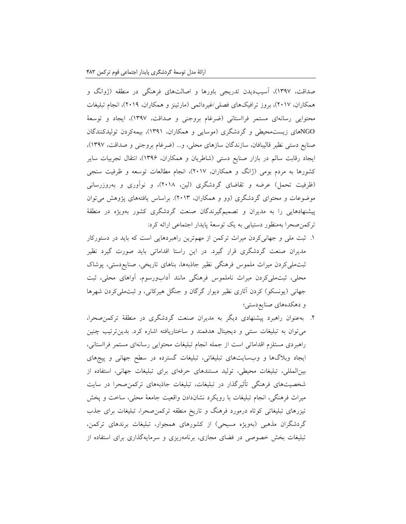صداقت، 1397(، آسیبدیدن تدریجی باورها و اصالتهای فرهنگی در منطقه )ژوانگ و همکاران، ٢٠١٧)، بروز ترافیکهای فصلی/غیردائمی (مارتینز و همکاران، ٢٠١٩)، انجام تبلیغات محتوایی رسانهای مستمر فرااستانی )ضرغام بروجنی و صداقت، 1397(، ایجاد و توسعۀ NGOهای زیستمحیطی و گردشگری )موسایی و همکاران، 1391(، بیمهکردن تولیدکنندگان صنایع دستی نظیر قالیبافان، سازندگان سازهای محلی، و... )ضرغام بروجنی و صداقت، 1397(، ایجاد رقابت سالم در بازار صنایع دستی )شاطریان و همکاران، 1396(، انتقال تجربیات سایر کشورها به مردم بومی )ژانگ و همکاران، 2017(، انجام مطالعات توسعه و ظرفیت سنجی (ظرفیت تحمل) عرضه و تقاضای گردشگری (لین، ۲۰۱۸)، و نوآوری و بهروزرسانی موضوعات و محتوای گردشگری )وو و همکاران، 2013(. براساس یافتههای پژوهش میتوان پیشنهادهایی را به مدیران و تصمیمگیرندگان صنعت گردشگری کشور بهویژه در منطقۀ ترکمنصحرا بهمنظور دستیابی به یک توسعۀ پایدار اجتماعی ارائه کرد:

- .1 ثبت ملی و جهانیکردن میراث ترکمن از مهمترین راهبردهایی است که باید در دستورکار مدیران صنعت گردشگری قرار گیرد. در این راستا اقداماتی باید صورت گیرد نظیر ثبتملیکردن میراث ملموس فرهنگی نظیر جاذبهها، بناهای تاریخی، صنایعدستی، پوشاک محلی، ثبتملیکردن میراث ناملموس فرهنگی مانند آدابورسوم، آواهای محلی، ثبت جهانی (یونسکو) کردن آثاری نظیر دیوار گرگان و جنگل هیرکانی، و ثبتملی کردن شهرها و دهکدههای صنایعدستی؛
- .2 بهعنوان راهبرد پیشنهادی دیگر به مدیران صنعت گردشگری در منطقۀ ترکمنصحرا، میتوان به تبلیغات سنتی و دیجیتال هدفمند و ساختاریافته اشاره کرد. بدینترتیب چنین راهبردی مستلزم اقداماتی است از جمله انجام تبلیغات محتوایی رسانهای مستمر فرااستانی، ایجاد وبالگها و وبسایتهای تبلیغاتی، تبلیغات گسترده در سطح جهانی و پیجهای بینالمللی، تبلیغات محیطی، تولید مستندهای حرفهای برای تبلیغات جهانی، استفاده از شخصیتهای فرهنگی تأثیرگذار در تبلیغات، تبلیغات جاذبههای ترکمنصحرا در سایت میراث فرهنگی، انجام تبلیغات با رویکرد نشاندادن واقعیت جامعۀ محلی، ساخت و پخش تیزرهای تبلیغاتی کوتاه درمورد فرهنگ و تاریخ منطقه ترکمنصحرا، تبلیغات برای جذب گردشگران مذهبی (بهویژه مسیحی) از کشورهای همجوار، تبلیغات برندهای ترکمن، تبلیغات بخش خصوصی در فضای مجازی، برنامهریزی و سرمایهگذاری برای استفاده از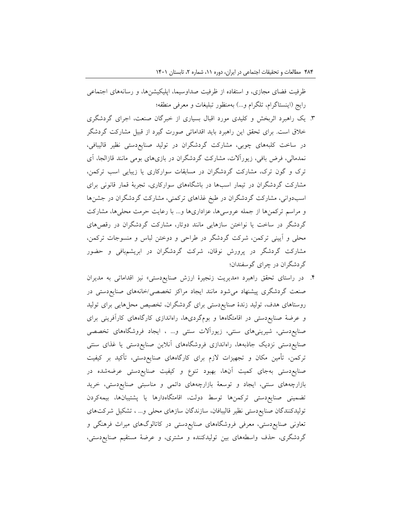ظرفیت فضای مجازی، و استفاده از ظرفیت صداوسیما، اپلیکیشنها، و رسانههای اجتماعی رایج (اینستاگرام، تلگرام و...) بهمنظور تبلیغات و معرفی منطقه؛

- .3 یک راهبرد اثربخش و کلیدی مورد اقبال بسیاری از خبرگان صنعت، اجرای گردشگری خالق است. برای تحقق این راهبرد باید اقداماتی صورت گیرد از قبیل مشارکت گردشگر در ساخت کلبههای چوبی، مشارکت گردشگران در تولید صنایعدستی نظیر قالیبافی، نمدمالی، فرض بافی، زیورآالت، مشارکت گردشگران در بازیهای بومی مانند قازالجا، آی ترک و گون ترک، مشارکت گردشگران در مسابقات سوارکاری یا زیبایی اسب ترکمن، مشارکت گردشگران در تیمار اسبها در باشگاههای سوارکاری، تجربۀ قمار قانونی برای اسبدوانی، مشارکت گردشگران در طبخ غذاهای ترکمنی، مشارکت گردشگران در جشنها و مراسم ترکمنها از جمله عروسیها، عزاداریها و... با رعایت حرمت محلیها، مشارکت گردشگر در ساخت یا نواختن سازهایی مانند دوتار، مشارکت گردشگران در رقصهای محلی و آیینی ترکمن، شرکت گردشگر در طراحی و دوختن لباس و منسوجات ترکمن، مشارکت گردشگر در پرورش نوقان، شرکت گردشگران در ابریشمبافی و حضور گردشگران در چرای گوسفندان؛
- .4 در راستای تحقق راهبرد »مدیریت زنجیرۀ ارزش صنایعدستی« نیز اقداماتی به مدیران صنعت گردشگری پیشنهاد میشود مانند ایجاد مراکز تخصصی/خانههای صنایعدستی در روستاهای هدف، تولید زندۀ صنایعدستی برای گردشگران، تخصیص محلهایی برای تولید و عرضۀ صنایعدستی در اقامتگاهها و بومگردیها، راهاندازی کارگاههای کارآفرینی برای صنایعدستی، شیرینیهای سنتی، زیورآالت سنتی و... ، ایجاد فروشگاههای تخصصی صنایعدستی نزدیک جاذبهها، راهاندازی فروشگاههای آنالین صنایعدستی یا غذای سنتی ترکمن، تأمین مکان و تجهیزات الزم برای کارگاههای صنایعدستی، تأکید بر کیفیت صنایعدستی بهجای کمیت آنها، بهبود تنوع و کیفیت صنایعدستی عرضهشده در بازارچههای سنتی، ایجاد و توسعۀ بازارچههای دائمی و مناسبتی صنایعدستی، خرید تضمینی صنایعدستی ترکمنها توسط دولت، اقامتگاهدارها یا پشتیبانها، بیمهکردن تولیدکنندگان صنایعدستی نظیر قالیبافان، سازندگان سازهای محلی و... ، تشکیل شرکتهای تعاونی صنایعدستی، معرفی فروشگاههای صنایعدستی در کاتالوگهای میراث فرهنگی و گردشگری، حذف واسطههای بین تولیدکننده و مشتری، و عرضۀ مستقیم صنایعدستی،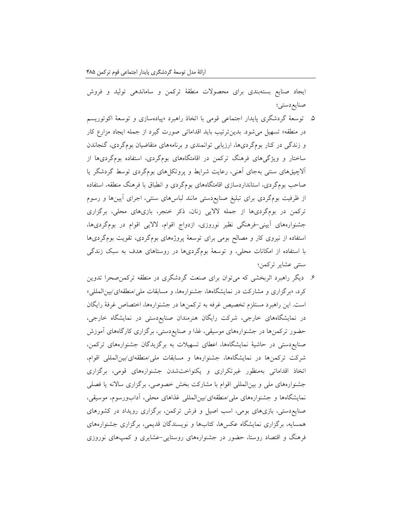ایجاد صنایع بستهبندی برای محصوالت منطقۀ ترکمن و ساماندهی تولید و فروش صنایعدستی؛

- .5 توسعۀ گردشگری پایدار اجتماعی قومی با اتخاذ راهبرد »پیادهسازی و توسعۀ اکوتوریسم در منطقه« تسهیل میشود. بدینترتیب باید اقداماتی صورت گیرد از جمله ایجاد مزارع کار و زندگی در کنار بومگردیها، ارزیابی توانمندی و برنامههای متقاضیان بومگردی، گنجاندن ساختار و ویژگیهای فرهنگ ترکمن در اقامتگاههای بومگردی، استفاده بومگردیها از آالچیقهای سنتی بهجای آهنی، رعایت شرایط و پروتکلهای بومگردی توسط گردشگر یا صاحب بومگردی، استانداردسازی اقامتگاههای بومگردی و انطباق با فرهنگ منطقه، استفاده از ظرفیت بومگردی برای تبلیغ صنایعدستی مانند لباسهای سنتی، اجرای آیینها و رسوم ترکمن در بومگردیها از جمله الالیی زنان، ذکر خنجر، بازیهای محلی، برگزاری جشنوارههای آیینی-فرهنگی نظیر نوروزی، ازدواج اقوام، الالیی اقوام در بومگردیها، استفاده از نیروی کار و مصالح بومی برای توسعۀ پروژههای بومگردی، تقویت بومگردیها با استفاده از امکانات محلی، و توسعۀ بومگردیها در روستاهای هدف به سبک زندگی سنتی عشایر ترکمن؛
- .6 دیگر راهبرد اثربخشی که میتوان برای صنعت گردشگری در منطقه ترکمنصحرا تدوین کرد، »برگزاری و مشارکت در نمایشگاهها، جشنوارهها، و مسابقات ملی/منطقهای/بینالمللی« است. این راهبرد مستلزم تخصیص غرفه به ترکمنها در جشنوارهها، اختصاص غرفۀ رایگان در نمایشگاههای خارجی، شرکت رایگان هنرمندان صنایعدستی در نمایشگاه خارجی، حضور ترکمنها در جشنوارههای موسیقی، غذا و صنایعدستی، برگزاری کارگاههای آموزش صنایعدستی در حاشیۀ نمایشگاهها، اعطای تسهیالت به برگزیدگان جشنوارههای ترکمن، شرکت ترکمنها در نمایشگاهها، جشنوارهها و مسابقات ملی/منطقهای/بینالمللی اقوام، اتخاذ اقداماتی بهمنظور غیرتکراری و یکنواختشدن جشنوارههای قومی، برگزاری جشنوارههای ملی و بینالمللی اقوام با مشارکت بخش خصوصی، برگزاری ساالنه یا فصلی نمایشگاهها و جشنوارههای ملی/منطقهای/بینالمللی غذاهای محلی، آدابورسوم، موسیقی، صنایعدستی، بازیهای بومی، اسب اصیل و فرش ترکمن، برگزاری رویداد در کشورهای همسایه، برگزاری نمایشگاه عکسها، کتابها و نویسندگان قدیمی، برگزاری جشنوارههای فرهنگ و اقتصاد روستا، حضور در جشنوارههای روستایی-عشایری و کمپهای نوروزی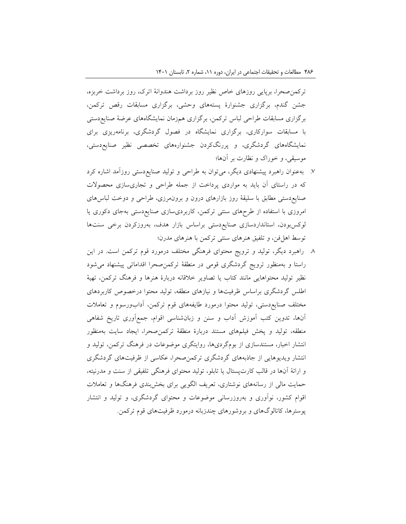ترکمنصحرا، برپایی روزهای خاص نظیر روز برداشت هندوانۀ اترک، روز برداشت خربزه، جشن گندم، برگزاری جشنوارۀ پستههای وحشی، برگزاری مسابقات رقص ترکمن، برگزاری مسابقات طراحی لباس ترکمن، برگزاری همزمان نمایشگاههای عرضۀ صنایعدستی با مسابقات سوارکاری، برگزاری نمایشگاه در فصول گردشگری، برنامهریزی برای نمایشگاههای گردشگری، و پررنگکردن جشنوارههای تخصصی نظیر صنایعدستی، موسیقی، و خوراک و نظارت بر آنها؛

- .7 بهعنوان راهبرد پیشنهادی دیگر، میتوان به طراحی و تولید صنایعدستی روزآمد اشاره کرد که در راستای آن باید به مواردی پرداخت از جمله طراحی و تجاریسازی محصوالت صنایعدستی مطابق با سلیقۀ روز بازارهای درون و برونمرزی، طراحی و دوخت لباسهای امروزی با استفاده از طرحهای سنتی ترکمن، کاربردیسازی صنایعدستی بهجای دکوری یا لوکسبودن، استانداردسازی صنایعدستی براساس بازار هدف، بهروزکردن برخی سنتها توسط اهلفن، و تلفیق هنرهای سنتی ترکمن با هنرهای مدرن؛
- .8 راهبرد دیگر، تولید و ترویج محتوای فرهنگی مختلف درمورد قوم ترکمن است. در این راستا و بهمنظور ترویج گردشگری قومی در منطقۀ ترکمنصحرا اقداماتی پیشنهاد میشود نظیر تولید محتواهایی مانند کتاب یا تصاویر خالقانه دربارۀ هنرها و فرهنگ ترکمن، تهیۀ اطلس گردشگری براساس ظرفیتها و نیازهای منطقه، تولید محتوا درخصوص کاربردهای مختلف صنایعدستی، تولید محتوا درمورد طایفههای قوم ترکمن، آدابورسوم و تعامالت آنها، تدوین کتب آموزش آداب و سنن و زبانشناسی اقوام، جمعآوری تاریخ شفاهی منطقه، تولید و پخش فیلمهای مستند دربارۀ منطقۀ ترکمنصحرا، ایجاد سایت بهمنظور انتشار اخبار، مستندسازی از بومگردیها، روایتگری موضوعات در فرهنگ ترکمن، تولید و انتشار ویدیوهایی از جاذبههای گردشگری ترکمنصحرا، عکاسی از ظرفیتهای گردشگری و ارائۀ آنها در قالب کارتپستال یا تابلو، تولید محتوای فرهنگی تلفیقی از سنت و مدرنیته، حمایت مالی از رسانههای نوشتاری، تعریف الگویی برای بخشبندی فرهنگها و تعامالت اقوام کشور، نوآوری و بهروزرسانی موضوعات و محتوای گردشگری، و تولید و انتشار پوسترها، کاتالوگهای و بروشورهای چندزبانه درمورد ظرفیتهای قوم ترکمن.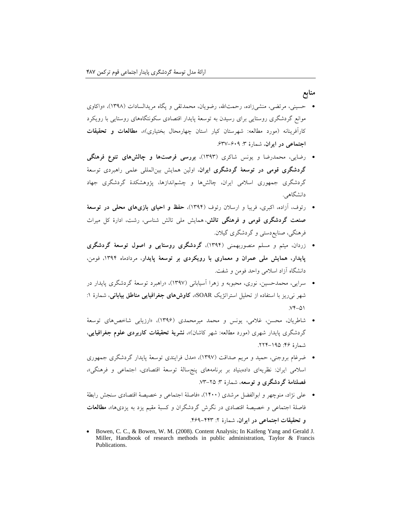### **منابع**

- حسینی، مرتضی، منشیزاده، رحمتاهلل، رضویان، محمدتقی و پگاه مریدالسادات )1398(، »واکاوی موانع گردشگری روستایی برای رسیدن به توسعۀ پایدار اقتصادی سکونتگاههای روستایی با رویکرد کارآفرینانه )مورد مطالعه: شهرستان کیار استان چهارمحال بختیاری(«، **مطالعات و تحقیقات اجتماعی در ایران**، شمارۀ :3 .637-609
- رضایی، محمدرضا و یونس شاکری )1393(، **بررسی فرصتها و چالشهای تنوع فرهنگی گردشگری قومی در توسعۀ گردشگری ایران**، اولین همایش بینالمللی علمی راهبردی توسعۀ گردشگری جمهوری اسالمی ایران، چالشها و چشماندازها، پژوهشکدۀ گردشگری جهاد دانشگاهی.
- رئوف، آزاده، اکبری، فریبا و ارسالن رئوف )1394(، **حفظ و احیای بازیهای محلی در توسعۀ صنعت گردشگری قومی و فرهنگی تالش**، همایش ملی تالش شناسی، رشت، ادارۀ کل میراث فرهنگی، صنایعدستی و گردشگری گیالن.
- زردان، میثم و مسلم منصوربهمنی )1394(، **گردشگری روستایی و اصول توسعۀ گردشگری پایدار، همایش ملی عمران و معماری با رویکردی بر توسعۀ پایدار**، مردادماه ،1394 فومن، دانشگاه آزاد اسالمی واحد فومن و شفت.
- سرایی، محمدحسین، نوری، محبوبه و زهرا آسیابانی )1397(، »راهبرد توسعۀ گردشگری پایدار در شهر نیریز با استفاده از تحلیل استراتژیک SOAR»، **کاوشهای جغرافیایی مناطق بیابانی**، شمارۀ :1  $YY-\Delta$
- شاطریان، محسن، غالمی، یونس و محمد میرمحمدی )1396(، »ارزیابی شاخصهای توسعۀ گردشگری پایدار شهری (مورد مطالعه: شهر کاشان)»، **نشریۀ تحقیقات کاربردی علوم جغرافیایی**، شمارۀ :46 .224-195
- ضرغام بروجنی، حمید و مریم صداقت )1397(، »مدل فرایندی توسعۀ پایدار گردشگری جمهوری اسالمی ایران: نظریهای دادهبنیاد بر برنامههای پنجسالۀ توسعۀ اقتصادی، اجتماعی و فرهنگی«، **فصلنامۀ گردشگری و توسعه**، شمارۀ :3 .73-25
- علی نژاد، منوچهر و ابوالفضل مرشدی )1400(، »فاصلۀ اجتماعی و خصیصۀ اقتصادی سنجش رابطۀ فاصلۀ اجتماعی و خصیصۀ اقتصادی در نگرش گردشگران و کسبۀ مقیم یزد به یزدیها«، **مطالعات و تحقیقات اجتماعی در ایران**، شمارۀ :2 .469-443
- Bowen, C. C., & Bowen, W. M. (2008). Content Analysis; In Kaifeng Yang and Gerald J. Miller, Handbook of research methods in public administration, Taylor & Francis Publications.